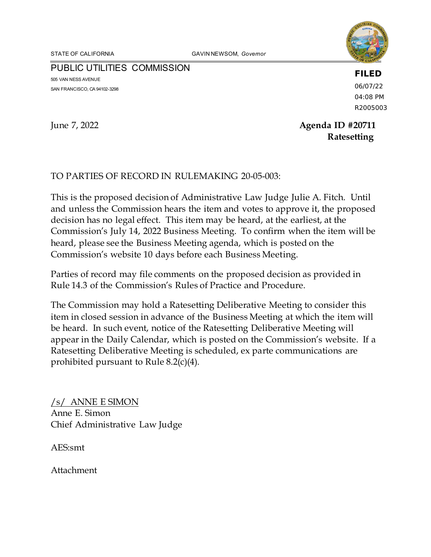STATE OF CALIFORNIA **GAVIN NEWSOM**, Governor



PUBLIC UTILITIES COMMISSION 505 VAN NESS AVENUE SAN FRANCISCO, CA 94102-3298

**FILED**

06/07/22 04:08 PM R2005003

# June 7, 2022 **Agenda ID #20711 Ratesetting**

### TO PARTIES OF RECORD IN RULEMAKING 20-05-003:

This is the proposed decision of Administrative Law Judge Julie A. Fitch. Until and unless the Commission hears the item and votes to approve it, the proposed decision has no legal effect. This item may be heard, at the earliest, at the Commission's July 14, 2022 Business Meeting. To confirm when the item will be heard, please see the Business Meeting agenda, which is posted on the Commission's website 10 days before each Business Meeting.

Parties of record may file comments on the proposed decision as provided in Rule 14.3 of the Commission's Rules of Practice and Procedure.

The Commission may hold a Ratesetting Deliberative Meeting to consider this item in closed session in advance of the Business Meeting at which the item will be heard. In such event, notice of the Ratesetting Deliberative Meeting will appear in the Daily Calendar, which is posted on the Commission's website. If a Ratesetting Deliberative Meeting is scheduled, ex parte communications are prohibited pursuant to Rule 8.2(c)(4).

/s/ ANNE E SIMON Anne E. Simon Chief Administrative Law Judge

AES:smt

Attachment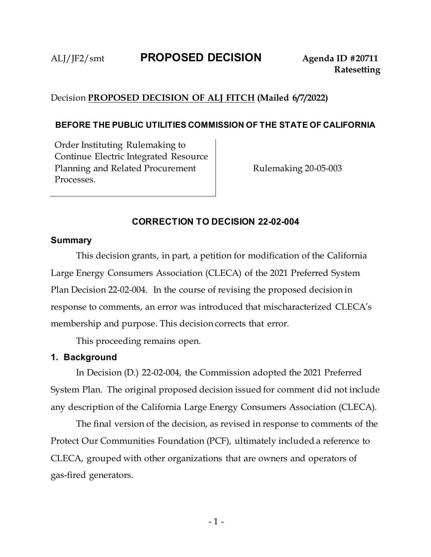# Decision **PROPOSED DECISION OF ALJ FITCH (Mailed 6/7/2022)**

### **BEFORE THE PUBLIC UTILITIES COMMISSION OF THE STATE OF CALIFORNIA**

Order Instituting Rulemaking to Continue Electric Integrated Resource Planning and Related Procurement Processes.

Rulemaking 20-05-003

### **CORRECTION TO DECISION 22-02-004**

#### **Summary**

This decision grants, in part, a petition for modification of the California Large Energy Consumers Association (CLECA) of the 2021 Preferred System Plan Decision 22-02-004. In the course of revising the proposed decision in response to comments, an error was introduced that mischaracterized CLECA's membership and purpose. This decision corrects that error.

This proceeding remains open.

### **1. Background**

In Decision (D.) 22-02-004, the Commission adopted the 2021 Preferred System Plan. The original proposed decision issued for comment did not include any description of the California Large Energy Consumers Association (CLECA).

The final version of the decision, as revised in response to comments of the Protect Our Communities Foundation (PCF), ultimately included a reference to CLECA, grouped with other organizations that are owners and operators of gas-fired generators.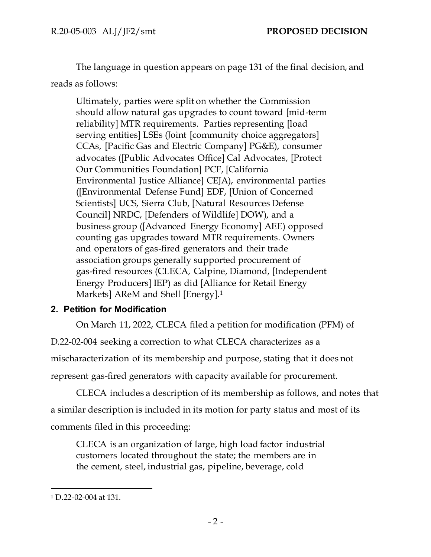The language in question appears on page 131 of the final decision, and reads as follows:

Ultimately, parties were split on whether the Commission should allow natural gas upgrades to count toward [mid-term reliability] MTR requirements. Parties representing [load serving entities] LSEs (Joint [community choice aggregators] CCAs, [Pacific Gas and Electric Company] PG&E), consumer advocates ([Public Advocates Office] Cal Advocates, [Protect Our Communities Foundation] PCF, [California Environmental Justice Alliance] CEJA), environmental parties ([Environmental Defense Fund] EDF, [Union of Concerned Scientists] UCS, Sierra Club, [Natural Resources Defense Council] NRDC, [Defenders of Wildlife] DOW), and a business group ([Advanced Energy Economy] AEE) opposed counting gas upgrades toward MTR requirements. Owners and operators of gas-fired generators and their trade association groups generally supported procurement of gas-fired resources (CLECA, Calpine, Diamond, [Independent Energy Producers] IEP) as did [Alliance for Retail Energy Markets] AReM and Shell [Energy].<sup>1</sup>

## **2. Petition for Modification**

On March 11, 2022, CLECA filed a petition for modification (PFM) of D.22-02-004 seeking a correction to what CLECA characterizes as a mischaracterization of its membership and purpose, stating that it does not represent gas-fired generators with capacity available for procurement.

CLECA includes a description of its membership as follows, and notes that a similar description is included in its motion for party status and most of its comments filed in this proceeding:

CLECA is an organization of large, high load factor industrial customers located throughout the state; the members are in the cement, steel, industrial gas, pipeline, beverage, cold

<sup>1</sup> D.22-02-004 at 131.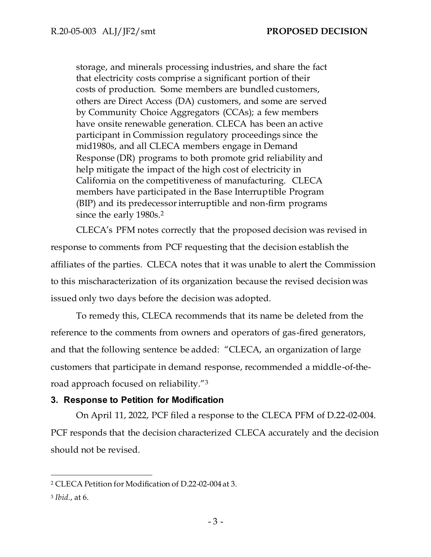storage, and minerals processing industries, and share the fact that electricity costs comprise a significant portion of their costs of production. Some members are bundled customers, others are Direct Access (DA) customers, and some are served by Community Choice Aggregators (CCAs); a few members have onsite renewable generation. CLECA has been an active participant in Commission regulatory proceedings since the mid1980s, and all CLECA members engage in Demand Response (DR) programs to both promote grid reliability and help mitigate the impact of the high cost of electricity in California on the competitiveness of manufacturing. CLECA members have participated in the Base Interruptible Program (BIP) and its predecessor interruptible and non-firm programs since the early 1980s.<sup>2</sup>

CLECA's PFM notes correctly that the proposed decision was revised in response to comments from PCF requesting that the decision establish the affiliates of the parties. CLECA notes that it was unable to alert the Commission to this mischaracterization of its organization because the revised decision was issued only two days before the decision was adopted.

To remedy this, CLECA recommends that its name be deleted from the reference to the comments from owners and operators of gas-fired generators, and that the following sentence be added: "CLECA, an organization of large customers that participate in demand response, recommended a middle-of-theroad approach focused on reliability."<sup>3</sup>

#### **3. Response to Petition for Modification**

On April 11, 2022, PCF filed a response to the CLECA PFM of D.22-02-004. PCF responds that the decision characterized CLECA accurately and the decision should not be revised.

<sup>2</sup> CLECA Petition for Modification of D.22-02-004 at 3.

<sup>3</sup> *Ibid*., at 6.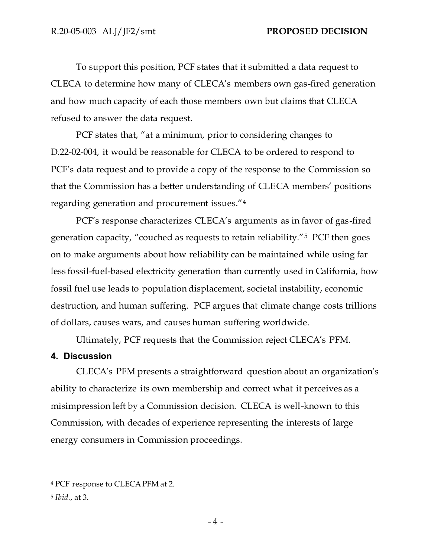To support this position, PCF states that it submitted a data request to CLECA to determine how many of CLECA's members own gas-fired generation and how much capacity of each those members own but claims that CLECA refused to answer the data request.

PCF states that, "at a minimum, prior to considering changes to D.22-02-004, it would be reasonable for CLECA to be ordered to respond to PCF's data request and to provide a copy of the response to the Commission so that the Commission has a better understanding of CLECA members' positions regarding generation and procurement issues."<sup>4</sup>

PCF's response characterizes CLECA's arguments as in favor of gas-fired generation capacity, "couched as requests to retain reliability."<sup>5</sup> PCF then goes on to make arguments about how reliability can be maintained while using far less fossil-fuel-based electricity generation than currently used in California, how fossil fuel use leads to population displacement, societal instability, economic destruction, and human suffering. PCF argues that climate change costs trillions of dollars, causes wars, and causes human suffering worldwide.

Ultimately, PCF requests that the Commission reject CLECA's PFM.

#### **4. Discussion**

CLECA's PFM presents a straightforward question about an organization's ability to characterize its own membership and correct what it perceives as a misimpression left by a Commission decision. CLECA is well-known to this Commission, with decades of experience representing the interests of large energy consumers in Commission proceedings.

<sup>4</sup> PCF response to CLECA PFM at 2.

<sup>5</sup> *Ibid*., at 3.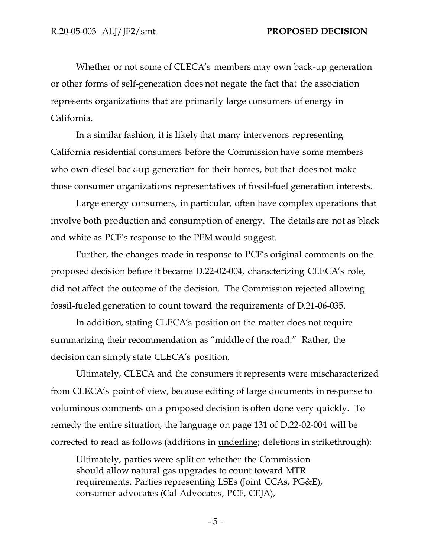Whether or not some of CLECA's members may own back-up generation or other forms of self-generation does not negate the fact that the association represents organizations that are primarily large consumers of energy in California.

In a similar fashion, it is likely that many intervenors representing California residential consumers before the Commission have some members who own diesel back-up generation for their homes, but that does not make those consumer organizations representatives of fossil-fuel generation interests.

Large energy consumers, in particular, often have complex operations that involve both production and consumption of energy. The details are not as black and white as PCF's response to the PFM would suggest.

Further, the changes made in response to PCF's original comments on the proposed decision before it became D.22-02-004, characterizing CLECA's role, did not affect the outcome of the decision. The Commission rejected allowing fossil-fueled generation to count toward the requirements of D.21-06-035.

In addition, stating CLECA's position on the matter does not require summarizing their recommendation as "middle of the road." Rather, the decision can simply state CLECA's position.

Ultimately, CLECA and the consumers it represents were mischaracterized from CLECA's point of view, because editing of large documents in response to voluminous comments on a proposed decision is often done very quickly. To remedy the entire situation, the language on page 131 of D.22-02-004 will be corrected to read as follows (additions in *underline*; deletions in strikethrough):

Ultimately, parties were split on whether the Commission should allow natural gas upgrades to count toward MTR requirements. Parties representing LSEs (Joint CCAs, PG&E), consumer advocates (Cal Advocates, PCF, CEJA),

- 5 -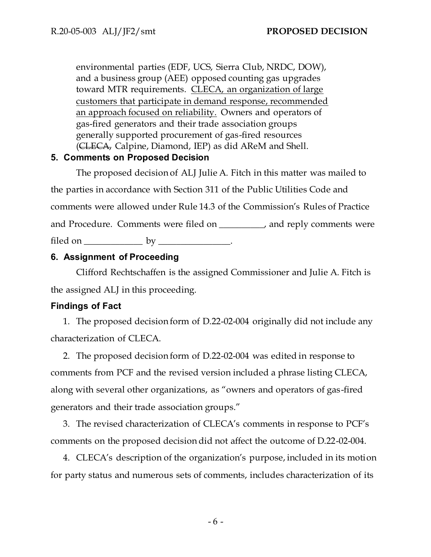environmental parties (EDF, UCS, Sierra Club, NRDC, DOW), and a business group (AEE) opposed counting gas upgrades toward MTR requirements. CLECA, an organization of large customers that participate in demand response, recommended an approach focused on reliability. Owners and operators of gas-fired generators and their trade association groups generally supported procurement of gas-fired resources (CLECA, Calpine, Diamond, IEP) as did AReM and Shell.

### **5. Comments on Proposed Decision**

The proposed decision of ALJ Julie A. Fitch in this matter was mailed to the parties in accordance with Section 311 of the Public Utilities Code and comments were allowed under Rule 14.3 of the Commission's Rules of Practice and Procedure. Comments were filed on \_\_\_\_\_\_\_\_\_\_, and reply comments were filed on  $\rule{1em}{0.15mm}$  by  $\rule{1.15mm}{0.15mm}$ .

## **6. Assignment of Proceeding**

Clifford Rechtschaffen is the assigned Commissioner and Julie A. Fitch is the assigned ALJ in this proceeding.

## **Findings of Fact**

1. The proposed decision form of D.22-02-004 originally did not include any characterization of CLECA.

2. The proposed decision form of D.22-02-004 was edited in response to comments from PCF and the revised version included a phrase listing CLECA, along with several other organizations, as "owners and operators of gas-fired generators and their trade association groups."

3. The revised characterization of CLECA's comments in response to PCF's comments on the proposed decision did not affect the outcome of D.22-02-004.

4. CLECA's description of the organization's purpose, included in its motion for party status and numerous sets of comments, includes characterization of its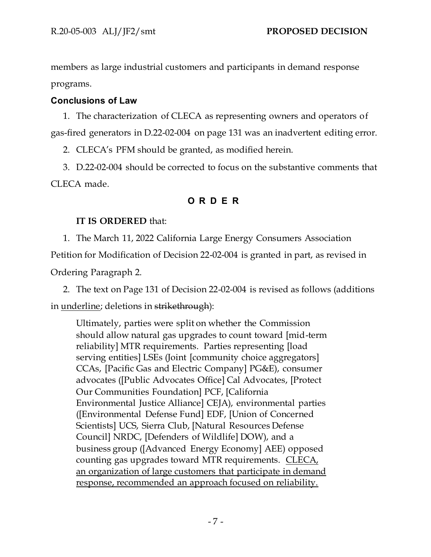members as large industrial customers and participants in demand response programs.

### **Conclusions of Law**

1. The characterization of CLECA as representing owners and operators of gas-fired generators in D.22-02-004 on page 131 was an inadvertent editing error.

2. CLECA's PFM should be granted, as modified herein.

3. D.22-02-004 should be corrected to focus on the substantive comments that CLECA made.

# **O R D E R**

## **IT IS ORDERED** that:

1. The March 11, 2022 California Large Energy Consumers Association

Petition for Modification of Decision 22-02-004 is granted in part, as revised in

Ordering Paragraph 2.

2. The text on Page 131 of Decision 22-02-004 is revised as follows (additions

in underline; deletions in strikethrough):

Ultimately, parties were split on whether the Commission should allow natural gas upgrades to count toward [mid-term reliability] MTR requirements. Parties representing [load serving entities] LSEs (Joint [community choice aggregators] CCAs, [Pacific Gas and Electric Company] PG&E), consumer advocates ([Public Advocates Office] Cal Advocates, [Protect Our Communities Foundation] PCF, [California Environmental Justice Alliance] CEJA), environmental parties ([Environmental Defense Fund] EDF, [Union of Concerned Scientists] UCS, Sierra Club, [Natural Resources Defense Council] NRDC, [Defenders of Wildlife] DOW), and a business group ([Advanced Energy Economy] AEE) opposed counting gas upgrades toward MTR requirements. CLECA, an organization of large customers that participate in demand response, recommended an approach focused on reliability.